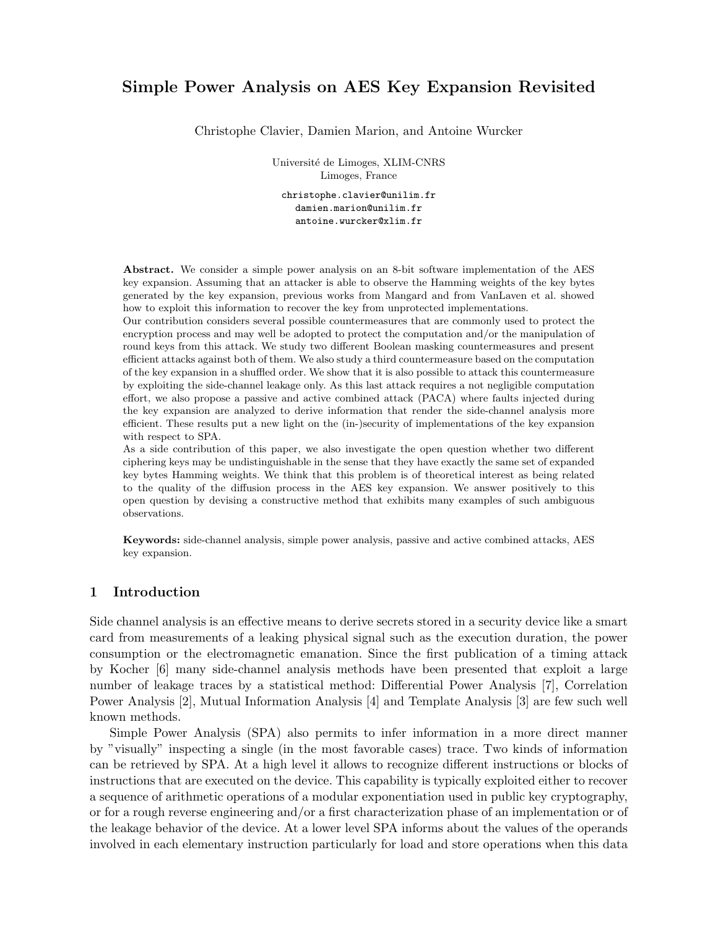# Simple Power Analysis on AES Key Expansion Revisited

Christophe Clavier, Damien Marion, and Antoine Wurcker

Université de Limoges, XLIM-CNRS Limoges, France

christophe.clavier@unilim.fr damien.marion@unilim.fr antoine.wurcker@xlim.fr

Abstract. We consider a simple power analysis on an 8-bit software implementation of the AES key expansion. Assuming that an attacker is able to observe the Hamming weights of the key bytes generated by the key expansion, previous works from Mangard and from VanLaven et al. showed how to exploit this information to recover the key from unprotected implementations.

Our contribution considers several possible countermeasures that are commonly used to protect the encryption process and may well be adopted to protect the computation and/or the manipulation of round keys from this attack. We study two different Boolean masking countermeasures and present efficient attacks against both of them. We also study a third countermeasure based on the computation of the key expansion in a shuffled order. We show that it is also possible to attack this countermeasure by exploiting the side-channel leakage only. As this last attack requires a not negligible computation effort, we also propose a passive and active combined attack (PACA) where faults injected during the key expansion are analyzed to derive information that render the side-channel analysis more efficient. These results put a new light on the (in-)security of implementations of the key expansion with respect to SPA.

As a side contribution of this paper, we also investigate the open question whether two different ciphering keys may be undistinguishable in the sense that they have exactly the same set of expanded key bytes Hamming weights. We think that this problem is of theoretical interest as being related to the quality of the diffusion process in the AES key expansion. We answer positively to this open question by devising a constructive method that exhibits many examples of such ambiguous observations.

Keywords: side-channel analysis, simple power analysis, passive and active combined attacks, AES key expansion.

## 1 Introduction

Side channel analysis is an effective means to derive secrets stored in a security device like a smart card from measurements of a leaking physical signal such as the execution duration, the power consumption or the electromagnetic emanation. Since the first publication of a timing attack by Kocher [6] many side-channel analysis methods have been presented that exploit a large number of leakage traces by a statistical method: Differential Power Analysis [7], Correlation Power Analysis [2], Mutual Information Analysis [4] and Template Analysis [3] are few such well known methods.

Simple Power Analysis (SPA) also permits to infer information in a more direct manner by "visually" inspecting a single (in the most favorable cases) trace. Two kinds of information can be retrieved by SPA. At a high level it allows to recognize different instructions or blocks of instructions that are executed on the device. This capability is typically exploited either to recover a sequence of arithmetic operations of a modular exponentiation used in public key cryptography, or for a rough reverse engineering and/or a first characterization phase of an implementation or of the leakage behavior of the device. At a lower level SPA informs about the values of the operands involved in each elementary instruction particularly for load and store operations when this data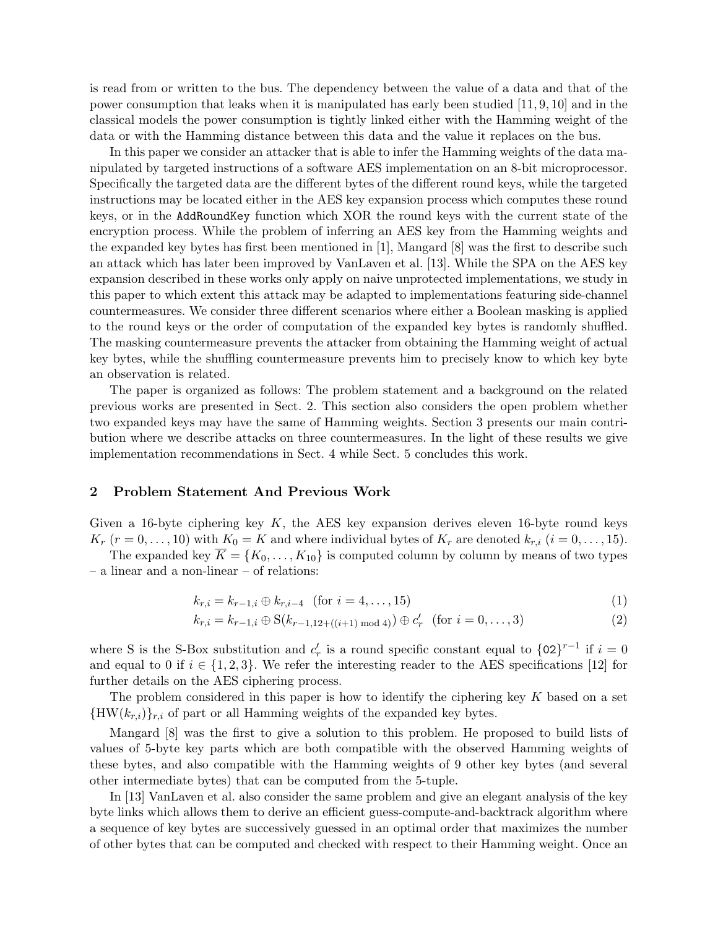is read from or written to the bus. The dependency between the value of a data and that of the power consumption that leaks when it is manipulated has early been studied [11, 9, 10] and in the classical models the power consumption is tightly linked either with the Hamming weight of the data or with the Hamming distance between this data and the value it replaces on the bus.

In this paper we consider an attacker that is able to infer the Hamming weights of the data manipulated by targeted instructions of a software AES implementation on an 8-bit microprocessor. Specifically the targeted data are the different bytes of the different round keys, while the targeted instructions may be located either in the AES key expansion process which computes these round keys, or in the AddRoundKey function which XOR the round keys with the current state of the encryption process. While the problem of inferring an AES key from the Hamming weights and the expanded key bytes has first been mentioned in [1], Mangard [8] was the first to describe such an attack which has later been improved by VanLaven et al. [13]. While the SPA on the AES key expansion described in these works only apply on naive unprotected implementations, we study in this paper to which extent this attack may be adapted to implementations featuring side-channel countermeasures. We consider three different scenarios where either a Boolean masking is applied to the round keys or the order of computation of the expanded key bytes is randomly shuffled. The masking countermeasure prevents the attacker from obtaining the Hamming weight of actual key bytes, while the shuffling countermeasure prevents him to precisely know to which key byte an observation is related.

The paper is organized as follows: The problem statement and a background on the related previous works are presented in Sect. 2. This section also considers the open problem whether two expanded keys may have the same of Hamming weights. Section 3 presents our main contribution where we describe attacks on three countermeasures. In the light of these results we give implementation recommendations in Sect. 4 while Sect. 5 concludes this work.

### 2 Problem Statement And Previous Work

Given a 16-byte ciphering key  $K$ , the AES key expansion derives eleven 16-byte round keys  $K_r$   $(r = 0, \ldots, 10)$  with  $K_0 = K$  and where individual bytes of  $K_r$  are denoted  $k_{r,i}$   $(i = 0, \ldots, 15)$ .

The expanded key  $\overline{K} = \{K_0, \ldots, K_{10}\}\$ is computed column by column by means of two types – a linear and a non-linear – of relations:

$$
k_{r,i} = k_{r-1,i} \oplus k_{r,i-4} \quad \text{(for } i = 4, \dots, 15\text{)}\tag{1}
$$

$$
k_{r,i} = k_{r-1,i} \oplus S(k_{r-1,12+((i+1) \mod 4)}) \oplus c'_r \quad \text{(for } i = 0, \dots, 3)
$$
 (2)

where S is the S-Box substitution and  $c'_r$  is a round specific constant equal to  ${0 \in \}^{r-1}$  if  $i = 0$ and equal to 0 if  $i \in \{1, 2, 3\}$ . We refer the interesting reader to the AES specifications [12] for further details on the AES ciphering process.

The problem considered in this paper is how to identify the ciphering key  $K$  based on a set  ${HW(k_{r,i})}_{{r,i}}$  of part or all Hamming weights of the expanded key bytes.

Mangard [8] was the first to give a solution to this problem. He proposed to build lists of values of 5-byte key parts which are both compatible with the observed Hamming weights of these bytes, and also compatible with the Hamming weights of 9 other key bytes (and several other intermediate bytes) that can be computed from the 5-tuple.

In [13] VanLaven et al. also consider the same problem and give an elegant analysis of the key byte links which allows them to derive an efficient guess-compute-and-backtrack algorithm where a sequence of key bytes are successively guessed in an optimal order that maximizes the number of other bytes that can be computed and checked with respect to their Hamming weight. Once an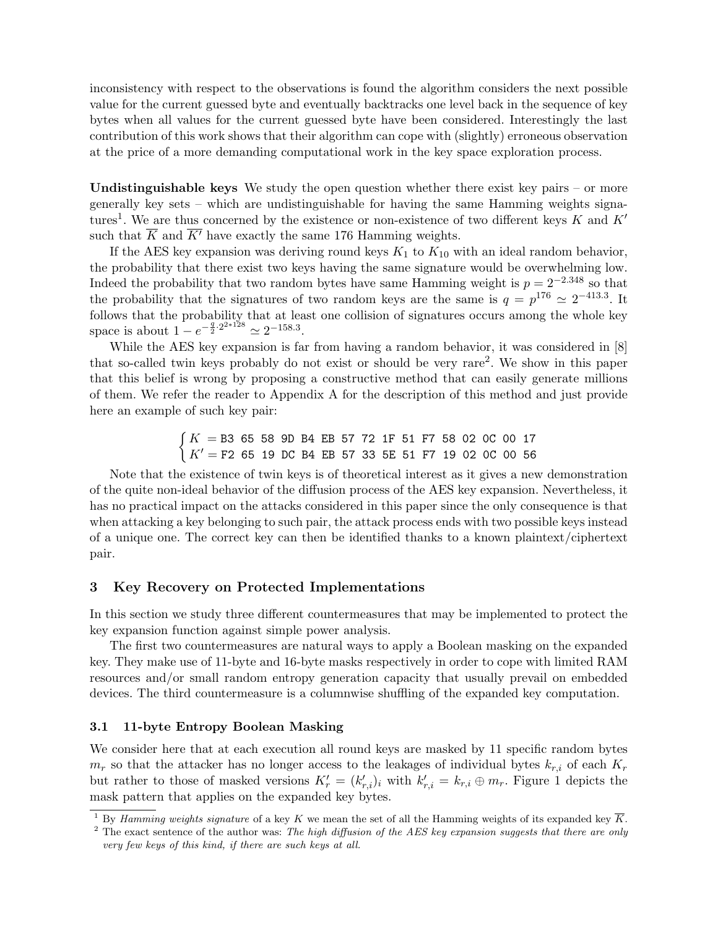inconsistency with respect to the observations is found the algorithm considers the next possible value for the current guessed byte and eventually backtracks one level back in the sequence of key bytes when all values for the current guessed byte have been considered. Interestingly the last contribution of this work shows that their algorithm can cope with (slightly) erroneous observation at the price of a more demanding computational work in the key space exploration process.

Undistinguishable keys We study the open question whether there exist key pairs – or more generally key sets – which are undistinguishable for having the same Hamming weights signatures<sup>1</sup>. We are thus concerned by the existence or non-existence of two different keys K and  $K'$ such that  $\overline{K}$  and  $\overline{K'}$  have exactly the same 176 Hamming weights.

If the AES key expansion was deriving round keys  $K_1$  to  $K_{10}$  with an ideal random behavior, the probability that there exist two keys having the same signature would be overwhelming low. Indeed the probability that two random bytes have same Hamming weight is  $p = 2^{-2.348}$  so that the probability that the signatures of two random keys are the same is  $q = p^{176} \approx 2^{-413.3}$ . It follows that the probability that at least one collision of signatures occurs among the whole key space is about  $1 - e^{-\frac{q}{2} \cdot 2^{2 \times 128}} \simeq 2^{-158.3}$ .

While the AES key expansion is far from having a random behavior, it was considered in [8] that so-called twin keys probably do not exist or should be very rare<sup>2</sup>. We show in this paper that this belief is wrong by proposing a constructive method that can easily generate millions of them. We refer the reader to Appendix A for the description of this method and just provide here an example of such key pair:

> $\int K = B3$  65 58 9D B4 EB 57 72 1F 51 F7 58 02 0C 00 17  $K' = F2$  65 19 DC B4 EB 57 33 5E 51 F7 19 02 OC 00 56

Note that the existence of twin keys is of theoretical interest as it gives a new demonstration of the quite non-ideal behavior of the diffusion process of the AES key expansion. Nevertheless, it has no practical impact on the attacks considered in this paper since the only consequence is that when attacking a key belonging to such pair, the attack process ends with two possible keys instead of a unique one. The correct key can then be identified thanks to a known plaintext/ciphertext pair.

### 3 Key Recovery on Protected Implementations

In this section we study three different countermeasures that may be implemented to protect the key expansion function against simple power analysis.

The first two countermeasures are natural ways to apply a Boolean masking on the expanded key. They make use of 11-byte and 16-byte masks respectively in order to cope with limited RAM resources and/or small random entropy generation capacity that usually prevail on embedded devices. The third countermeasure is a columnwise shuffling of the expanded key computation.

### 3.1 11-byte Entropy Boolean Masking

We consider here that at each execution all round keys are masked by 11 specific random bytes  $m_r$  so that the attacker has no longer access to the leakages of individual bytes  $k_{r,i}$  of each  $K_r$ but rather to those of masked versions  $K'_r = (k'_{r,i})_i$  with  $k'_{r,i} = k_{r,i} \oplus m_r$ . Figure 1 depicts the mask pattern that applies on the expanded key bytes.

<sup>&</sup>lt;sup>1</sup> By Hamming weights signature of a key K we mean the set of all the Hamming weights of its expanded key  $\overline{K}$ .

 $2$  The exact sentence of the author was: The high diffusion of the AES key expansion suggests that there are only very few keys of this kind, if there are such keys at all.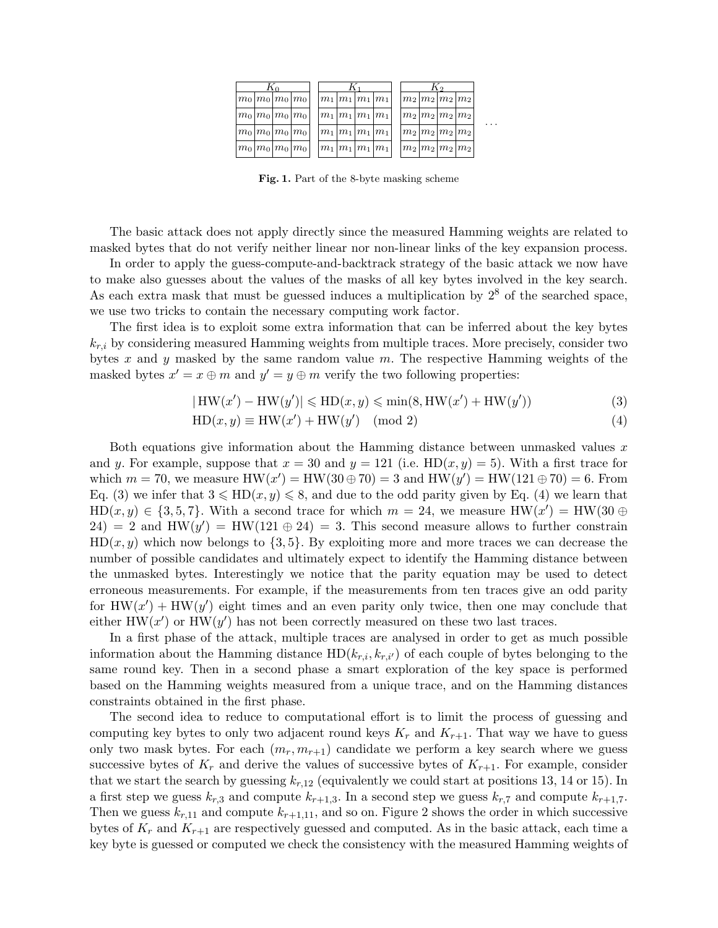|                     | n۵ |  |                     |  |  | K۰                  |  |  |  |  |
|---------------------|----|--|---------------------|--|--|---------------------|--|--|--|--|
| $ m_0 m_0 m_0 m_0 $ |    |  | $ m_1 m_1 m_1 m_1 $ |  |  | $ m_2 m_2 m_2 m_2 $ |  |  |  |  |
| $ m_0 m_0 m_0 m_0 $ |    |  | $ m_1 m_1 m_1 m_1 $ |  |  | $ m_2 m_2 m_2 m_2 $ |  |  |  |  |
| $ m_0 m_0 m_0 m_0 $ |    |  | $ m_1 m_1 m_1 m_1 $ |  |  | $ m_1 m_2 m_2 m_2 $ |  |  |  |  |
| $ m_0 m_0 m_0 m_0 $ |    |  | $ m_1 m_1 m_1 m_1 $ |  |  | $ m_2 m_2 m_2 m_2 $ |  |  |  |  |

Fig. 1. Part of the 8-byte masking scheme

The basic attack does not apply directly since the measured Hamming weights are related to masked bytes that do not verify neither linear nor non-linear links of the key expansion process.

In order to apply the guess-compute-and-backtrack strategy of the basic attack we now have to make also guesses about the values of the masks of all key bytes involved in the key search. As each extra mask that must be guessed induces a multiplication by  $2<sup>8</sup>$  of the searched space, we use two tricks to contain the necessary computing work factor.

The first idea is to exploit some extra information that can be inferred about the key bytes  $k_{r,i}$  by considering measured Hamming weights from multiple traces. More precisely, consider two bytes x and y masked by the same random value  $m$ . The respective Hamming weights of the masked bytes  $x' = x \oplus m$  and  $y' = y \oplus m$  verify the two following properties:

$$
|\text{HW}(x') - \text{HW}(y')| \le \text{HD}(x, y) \le \min(8, \text{HW}(x') + \text{HW}(y')) \tag{3}
$$

$$
HD(x, y) \equiv HW(x') + HW(y') \pmod{2}
$$
\n<sup>(4)</sup>

Both equations give information about the Hamming distance between unmasked values  $x$ and y. For example, suppose that  $x = 30$  and  $y = 121$  (i.e. HD(x, y) = 5). With a first trace for which  $m = 70$ , we measure  $HW(x') = HW(30 \oplus 70) = 3$  and  $HW(y') = HW(121 \oplus 70) = 6$ . From Eq. (3) we infer that  $3 \leqslant HD(x, y) \leqslant 8$ , and due to the odd parity given by Eq. (4) we learn that  $HD(x, y) \in \{3, 5, 7\}$ . With a second trace for which  $m = 24$ , we measure  $HW(x') = HW(30 \oplus$  $(24) = 2$  and  $HW(y') = HW(121 \oplus 24) = 3$ . This second measure allows to further constrain  $HD(x, y)$  which now belongs to  $\{3, 5\}$ . By exploiting more and more traces we can decrease the number of possible candidates and ultimately expect to identify the Hamming distance between the unmasked bytes. Interestingly we notice that the parity equation may be used to detect erroneous measurements. For example, if the measurements from ten traces give an odd parity for  $HW(x') + HW(y')$  eight times and an even parity only twice, then one may conclude that either  $HW(x')$  or  $HW(y')$  has not been correctly measured on these two last traces.

In a first phase of the attack, multiple traces are analysed in order to get as much possible information about the Hamming distance  $HD(k_{r,i}, k_{r,i'})$  of each couple of bytes belonging to the same round key. Then in a second phase a smart exploration of the key space is performed based on the Hamming weights measured from a unique trace, and on the Hamming distances constraints obtained in the first phase.

The second idea to reduce to computational effort is to limit the process of guessing and computing key bytes to only two adjacent round keys  $K_r$  and  $K_{r+1}$ . That way we have to guess only two mask bytes. For each  $(m_r, m_{r+1})$  candidate we perform a key search where we guess successive bytes of  $K_r$  and derive the values of successive bytes of  $K_{r+1}$ . For example, consider that we start the search by guessing  $k_{r,12}$  (equivalently we could start at positions 13, 14 or 15). In a first step we guess  $k_{r,3}$  and compute  $k_{r+1,3}$ . In a second step we guess  $k_{r,7}$  and compute  $k_{r+1,7}$ . Then we guess  $k_{r,11}$  and compute  $k_{r+1,11}$ , and so on. Figure 2 shows the order in which successive bytes of  $K_r$  and  $K_{r+1}$  are respectively guessed and computed. As in the basic attack, each time a key byte is guessed or computed we check the consistency with the measured Hamming weights of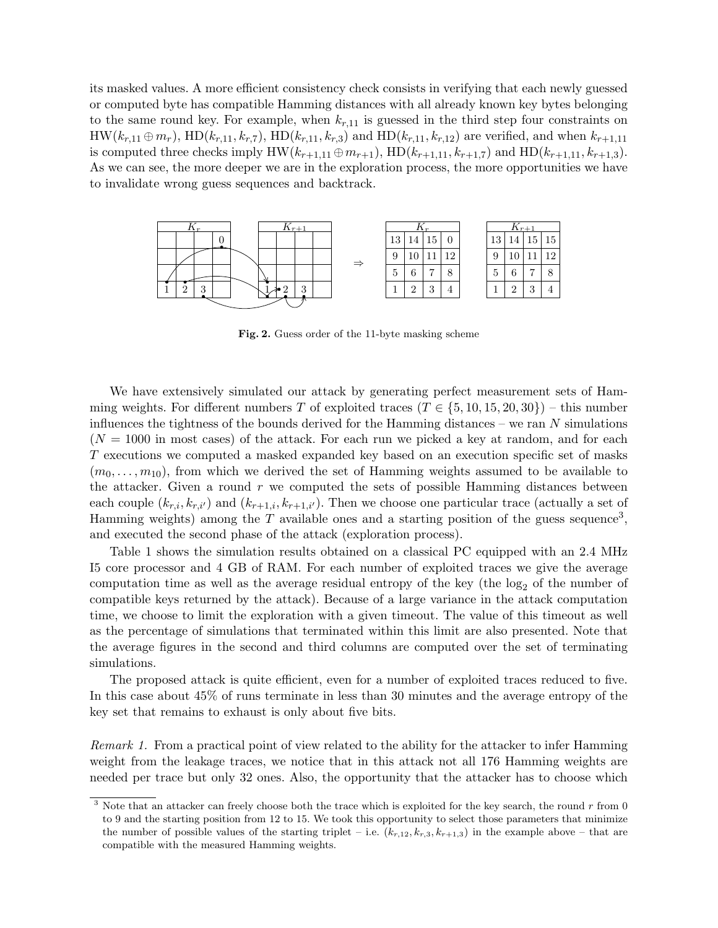its masked values. A more efficient consistency check consists in verifying that each newly guessed or computed byte has compatible Hamming distances with all already known key bytes belonging to the same round key. For example, when  $k_{r,11}$  is guessed in the third step four constraints on  $HW(k_{r,11} \oplus m_r)$ ,  $HD(k_{r,11}, k_{r,7})$ ,  $HD(k_{r,11}, k_{r,3})$  and  $HD(k_{r,11}, k_{r,12})$  are verified, and when  $k_{r+1,11}$ is computed three checks imply  $HW(k_{r+1,11} \oplus m_{r+1}), HD(k_{r+1,11}, k_{r+1,7})$  and  $HD(k_{r+1,11}, k_{r+1,3}).$ As we can see, the more deeper we are in the exploration process, the more opportunities we have to invalidate wrong guess sequences and backtrack.



Fig. 2. Guess order of the 11-byte masking scheme

We have extensively simulated our attack by generating perfect measurement sets of Hamming weights. For different numbers T of exploited traces  $(T \in \{5, 10, 15, 20, 30\})$  – this number influences the tightness of the bounds derived for the Hamming distances – we ran  $N$  simulations  $(N = 1000$  in most cases) of the attack. For each run we picked a key at random, and for each T executions we computed a masked expanded key based on an execution specific set of masks  $(m_0, \ldots, m_{10})$ , from which we derived the set of Hamming weights assumed to be available to the attacker. Given a round  $r$  we computed the sets of possible Hamming distances between each couple  $(k_{r,i}, k_{r,i'})$  and  $(k_{r+1,i}, k_{r+1,i'})$ . Then we choose one particular trace (actually a set of Hamming weights) among the T available ones and a starting position of the guess sequence<sup>3</sup>, and executed the second phase of the attack (exploration process).

Table 1 shows the simulation results obtained on a classical PC equipped with an 2.4 MHz I5 core processor and 4 GB of RAM. For each number of exploited traces we give the average computation time as well as the average residual entropy of the key (the  $log_2$  of the number of compatible keys returned by the attack). Because of a large variance in the attack computation time, we choose to limit the exploration with a given timeout. The value of this timeout as well as the percentage of simulations that terminated within this limit are also presented. Note that the average figures in the second and third columns are computed over the set of terminating simulations.

The proposed attack is quite efficient, even for a number of exploited traces reduced to five. In this case about 45% of runs terminate in less than 30 minutes and the average entropy of the key set that remains to exhaust is only about five bits.

Remark 1. From a practical point of view related to the ability for the attacker to infer Hamming weight from the leakage traces, we notice that in this attack not all 176 Hamming weights are needed per trace but only 32 ones. Also, the opportunity that the attacker has to choose which

 $3$  Note that an attacker can freely choose both the trace which is exploited for the key search, the round r from 0 to 9 and the starting position from 12 to 15. We took this opportunity to select those parameters that minimize the number of possible values of the starting triplet – i.e.  $(k_{r,12}, k_{r,3}, k_{r+1,3})$  in the example above – that are compatible with the measured Hamming weights.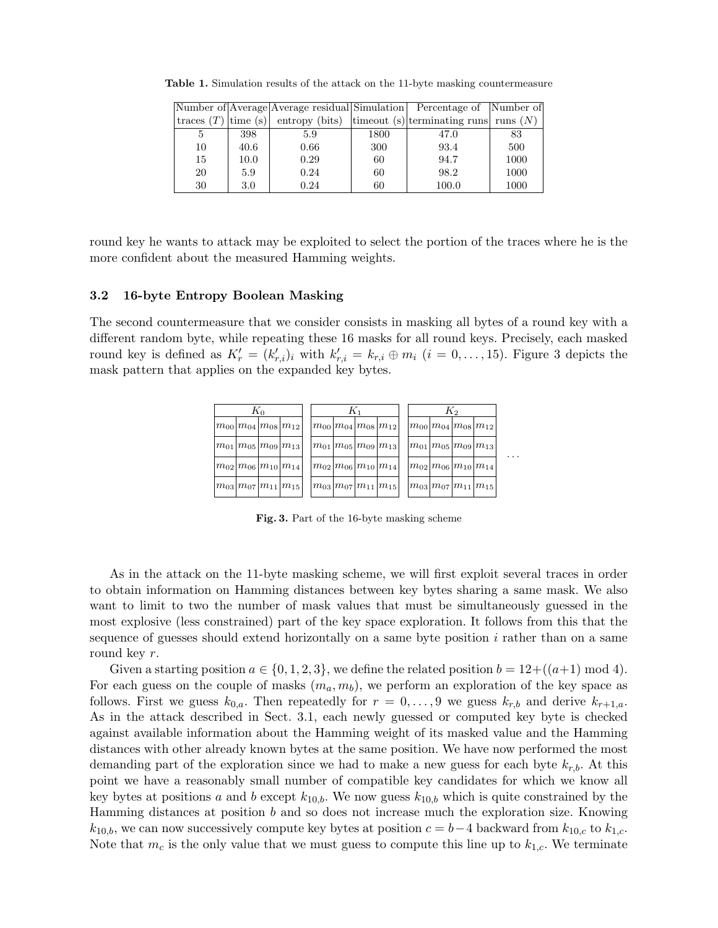|                         |      |      |      | Number of Average Average residual Simulation Percentage of Number of |      |
|-------------------------|------|------|------|-----------------------------------------------------------------------|------|
| traces $(T)$ time $(s)$ |      |      |      | entropy (bits)   timeout (s)   terminating runs   runs $(N)$          |      |
| 5                       | 398  | 5.9  | 1800 | 47.0                                                                  | 83   |
| 10                      | 40.6 | 0.66 | 300  | 93.4                                                                  | 500  |
| 15                      | 10.0 | 0.29 | 60   | 94.7                                                                  | 1000 |
| 20                      | 5.9  | 0.24 | 60   | 98.2                                                                  | 1000 |
| 30                      | 3.0  | 0.24 | 60   | 100.0                                                                 | 1000 |

Table 1. Simulation results of the attack on the 11-byte masking countermeasure

round key he wants to attack may be exploited to select the portion of the traces where he is the more confident about the measured Hamming weights.

#### 3.2 16-byte Entropy Boolean Masking

The second countermeasure that we consider consists in masking all bytes of a round key with a different random byte, while repeating these 16 masks for all round keys. Precisely, each masked round key is defined as  $K'_r = (k'_{r,i})_i$  with  $k'_{r,i} = k_{r,i} \oplus m_i$   $(i = 0, \ldots, 15)$ . Figure 3 depicts the mask pattern that applies on the expanded key bytes.

|                      | $K_2$                           |  | K1 |                                 |  |  | $K_0$                                |  |
|----------------------|---------------------------------|--|----|---------------------------------|--|--|--------------------------------------|--|
|                      | $ m_{00} m_{04} m_{08} m_{12} $ |  |    | $ m_{00} m_{04} m_{08} m_{12} $ |  |  | $m_{00}$ $ m_{04} $ $m_{08} m_{12} $ |  |
|                      | $ m_{01} m_{05} m_{09} m_{13} $ |  |    | $ m_{01} m_{05} m_{09} m_{13} $ |  |  | $m_{01}$ $ m_{05} m_{09} m_{13} $    |  |
| $\ddot{\phantom{1}}$ | $m_{02} m_{06} m_{10} m_{14}$   |  |    | $ m_{02} m_{06} m_{10} m_{14} $ |  |  | $m_{02} m_{06} m_{10} m_{14} $       |  |
|                      | $ m_{03} m_{07} m_{11} m_{15} $ |  |    | $ m_{03} m_{07} m_{11} m_{15} $ |  |  | $m_{03} m_{07} m_{11} m_{15} $       |  |

Fig. 3. Part of the 16-byte masking scheme

As in the attack on the 11-byte masking scheme, we will first exploit several traces in order to obtain information on Hamming distances between key bytes sharing a same mask. We also want to limit to two the number of mask values that must be simultaneously guessed in the most explosive (less constrained) part of the key space exploration. It follows from this that the sequence of guesses should extend horizontally on a same byte position  $i$  rather than on a same round key r.

Given a starting position  $a \in \{0, 1, 2, 3\}$ , we define the related position  $b = 12 + ((a+1) \mod 4)$ . For each guess on the couple of masks  $(m_a, m_b)$ , we perform an exploration of the key space as follows. First we guess  $k_{0,a}$ . Then repeatedly for  $r = 0, \ldots, 9$  we guess  $k_{r,b}$  and derive  $k_{r+1,a}$ . As in the attack described in Sect. 3.1, each newly guessed or computed key byte is checked against available information about the Hamming weight of its masked value and the Hamming distances with other already known bytes at the same position. We have now performed the most demanding part of the exploration since we had to make a new guess for each byte  $k_{r,b}$ . At this point we have a reasonably small number of compatible key candidates for which we know all key bytes at positions a and b except  $k_{10,b}$ . We now guess  $k_{10,b}$  which is quite constrained by the Hamming distances at position  $b$  and so does not increase much the exploration size. Knowing  $k_{10,b}$ , we can now successively compute key bytes at position  $c = b-4$  backward from  $k_{10,c}$  to  $k_{1,c}$ . Note that  $m_c$  is the only value that we must guess to compute this line up to  $k_{1,c}$ . We terminate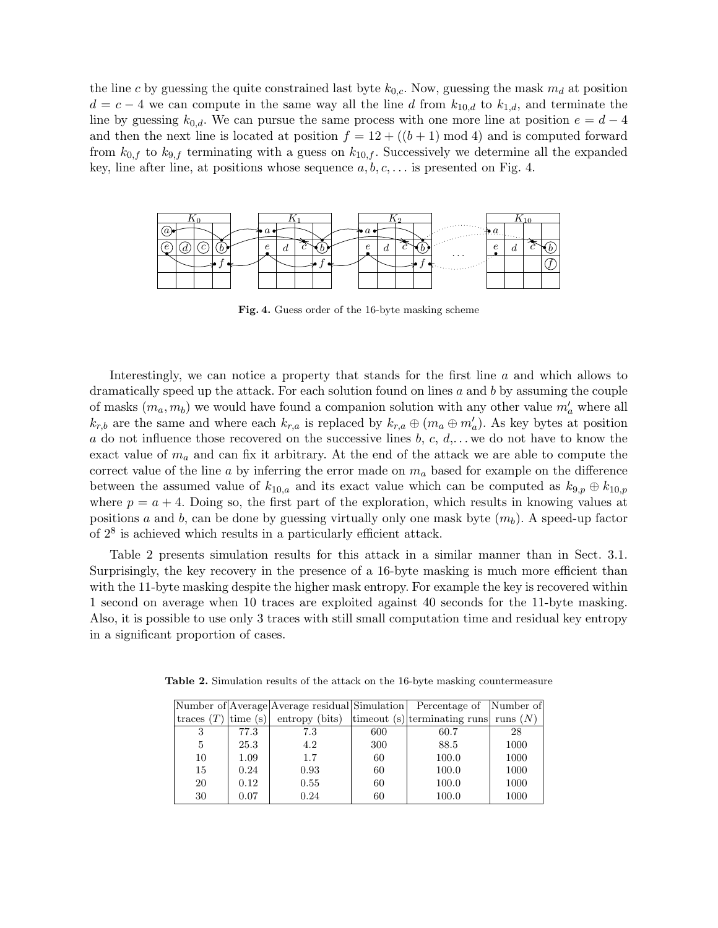the line c by guessing the quite constrained last byte  $k_{0,c}$ . Now, guessing the mask  $m_d$  at position  $d = c - 4$  we can compute in the same way all the line d from  $k_{10,d}$  to  $k_{1,d}$ , and terminate the line by guessing  $k_{0,d}$ . We can pursue the same process with one more line at position  $e = d - 4$ and then the next line is located at position  $f = 12 + ((b + 1) \text{ mod } 4)$  and is computed forward from  $k_{0,f}$  to  $k_{9,f}$  terminating with a guess on  $k_{10,f}$ . Successively we determine all the expanded key, line after line, at positions whose sequence  $a, b, c, \ldots$  is presented on Fig. 4.



Fig. 4. Guess order of the 16-byte masking scheme

Interestingly, we can notice a property that stands for the first line a and which allows to dramatically speed up the attack. For each solution found on lines  $a$  and  $b$  by assuming the couple of masks  $(m_a, m_b)$  we would have found a companion solution with any other value  $m'_a$  where all  $k_{r,b}$  are the same and where each  $k_{r,a}$  is replaced by  $k_{r,a} \oplus (m_a \oplus m'_a)$ . As key bytes at position a do not influence those recovered on the successive lines  $b, c, d, \ldots$  we do not have to know the exact value of  $m_a$  and can fix it arbitrary. At the end of the attack we are able to compute the correct value of the line a by inferring the error made on  $m_a$  based for example on the difference between the assumed value of  $k_{10,a}$  and its exact value which can be computed as  $k_{9,p} \oplus k_{10,p}$ where  $p = a + 4$ . Doing so, the first part of the exploration, which results in knowing values at positions a and b, can be done by guessing virtually only one mask byte  $(m_b)$ . A speed-up factor of  $2<sup>8</sup>$  is achieved which results in a particularly efficient attack.

Table 2 presents simulation results for this attack in a similar manner than in Sect. 3.1. Surprisingly, the key recovery in the presence of a 16-byte masking is much more efficient than with the 11-byte masking despite the higher mask entropy. For example the key is recovered within 1 second on average when 10 traces are exploited against 40 seconds for the 11-byte masking. Also, it is possible to use only 3 traces with still small computation time and residual key entropy in a significant proportion of cases.

Table 2. Simulation results of the attack on the 16-byte masking countermeasure

|    |      |      |     | Number of Average Average residual Simulation Percentage of Number of        |      |
|----|------|------|-----|------------------------------------------------------------------------------|------|
|    |      |      |     | traces $(T)$ time (s) entropy (bits) timeout (s) terminating runs runs $(N)$ |      |
| 3  | 77.3 | 7.3  | 600 | 60.7                                                                         | 28   |
| 5  | 25.3 | 4.2  | 300 | 88.5                                                                         | 1000 |
| 10 | 1.09 | 1.7  | 60  | 100.0                                                                        | 1000 |
| 15 | 0.24 | 0.93 | 60  | 100.0                                                                        | 1000 |
| 20 | 0.12 | 0.55 | 60  | 100.0                                                                        | 1000 |
| 30 | 0.07 | 0.24 | 60  | 100.0                                                                        | 1000 |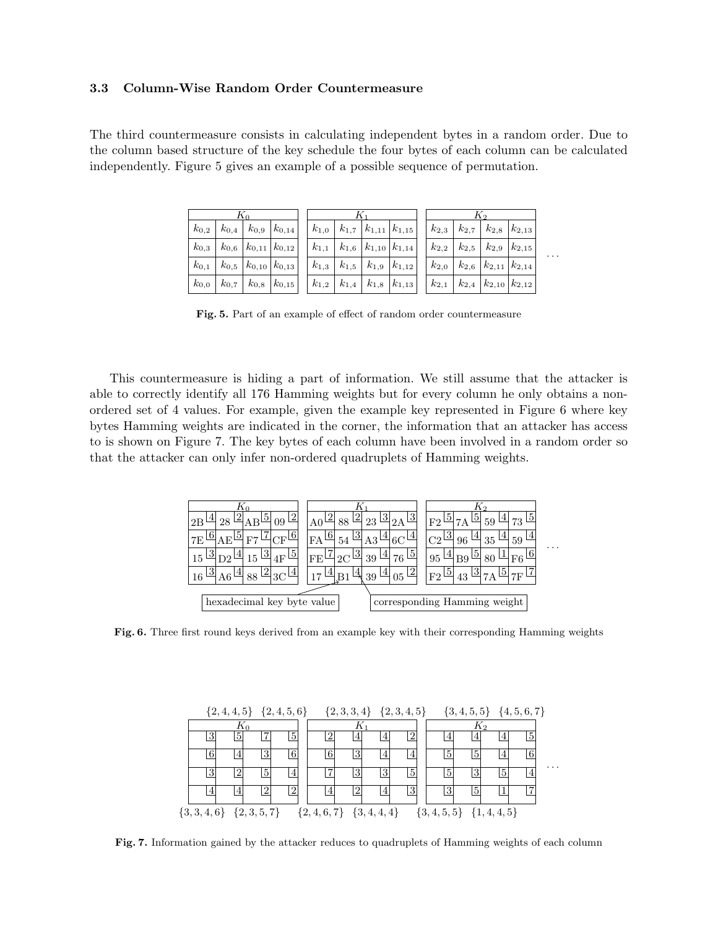### 3.3 Column-Wise Random Order Countermeasure

The third countermeasure consists in calculating independent bytes in a random order. Due to the column based structure of the key schedule the four bytes of each column can be calculated independently. Figure 5 gives an example of a possible sequence of permutation.

|           | $K_{0}$ |  |                                                                                                                                                       |  |  |  |  |                                                                                                                   |  |                                                              | h 2 |  |  |  |
|-----------|---------|--|-------------------------------------------------------------------------------------------------------------------------------------------------------|--|--|--|--|-------------------------------------------------------------------------------------------------------------------|--|--------------------------------------------------------------|-----|--|--|--|
| $k_{0,2}$ |         |  | $ k_{0,4}  k_{0,9}  k_{0,14} $                                                                                                                        |  |  |  |  | $\mid k_{1,0} \mid k_{1,7} \mid k_{1,11} \mid k_{1,15} \mid k_{2,3} \mid k_{2,7} \mid k_{2,8} \mid k_{2,13} \mid$ |  |                                                              |     |  |  |  |
| $k_{0,3}$ |         |  | $\mid k_{0,6} \mid k_{0,11} \mid k_{0,12} \mid k_{1,1} \mid k_{1,6} \mid k_{1,10} \mid k_{1,14} \mid k_{2,2} \mid k_{2,5} \mid k_{2,9} \mid k_{2,15}$ |  |  |  |  |                                                                                                                   |  |                                                              |     |  |  |  |
| $k_{0,1}$ |         |  | $ k_{0,5} k_{0,10} k_{0,13} $                                                                                                                         |  |  |  |  | $ k_{1,3}  k_{1,5}  k_{1,9}  k_{1,12} $                                                                           |  | $ k_{2,0}  k_{2,6}  k_{2,11}  k_{2,14}$                      |     |  |  |  |
|           |         |  | $k_{0,0}$ $k_{0,7}$ $k_{0,8}$ $k_{0,15}$                                                                                                              |  |  |  |  | $ k_{1,2}  k_{1,4}   k_{1,8}   k_{1,13} $                                                                         |  | $\mid k_{2,1} \mid k_{2,4} \mid k_{2,10} \mid k_{2,12} \mid$ |     |  |  |  |

Fig. 5. Part of an example of effect of random order countermeasure

This countermeasure is hiding a part of information. We still assume that the attacker is able to correctly identify all 176 Hamming weights but for every column he only obtains a nonordered set of 4 values. For example, given the example key represented in Figure 6 where key bytes Hamming weights are indicated in the corner, the information that an attacker has access to is shown on Figure 7. The key bytes of each column have been involved in a random order so that the attacker can only infer non-ordered quadruplets of Hamming weights.



Fig. 6. Three first round keys derived from an example key with their corresponding Hamming weights

|                         |   |                |         | $\{2,4,4,5\}$ $\{2,4,5,6\}$ $\{2,3,3,4\}$ $\{2,3,4,5\}$ $\{3,4,5,5\}$ $\{4,5,6,7\}$ |                |                         |   |                             |   |   |  |
|-------------------------|---|----------------|---------|-------------------------------------------------------------------------------------|----------------|-------------------------|---|-----------------------------|---|---|--|
|                         |   |                |         |                                                                                     |                |                         |   |                             |   |   |  |
| 3                       | 5 |                | 5       |                                                                                     |                |                         |   |                             |   | 5 |  |
|                         |   | 3              | 6       |                                                                                     | 3              |                         | 4 | 5                           | 5 |   |  |
| $\overline{3}$          |   | 5              |         |                                                                                     | 3              | $\overline{\mathbf{3}}$ | 5 |                             |   |   |  |
|                         |   | $\overline{2}$ | $^{12}$ |                                                                                     | $\overline{2}$ |                         | 3 |                             |   |   |  |
| ${3,3,4,6}$ ${2,3,5,7}$ |   |                |         | $\{2,4,6,7\}$ $\{3,4,4,4\}$                                                         |                |                         |   | $\{3,4,5,5\}$ $\{1,4,4,5\}$ |   |   |  |

Fig. 7. Information gained by the attacker reduces to quadruplets of Hamming weights of each column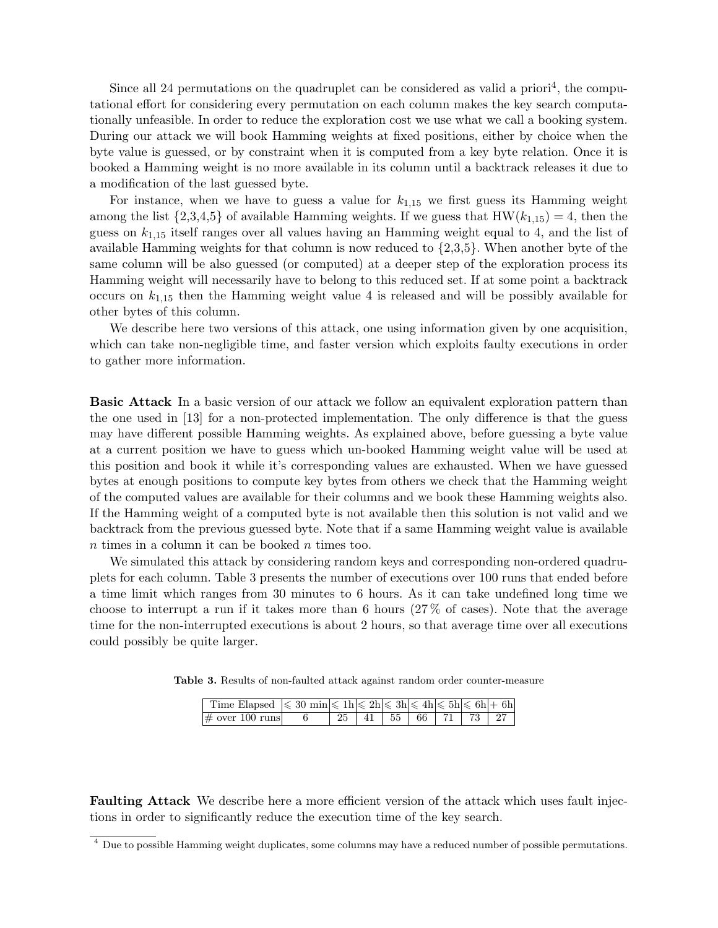Since all 24 permutations on the quadruplet can be considered as valid a priori<sup>4</sup>, the computational effort for considering every permutation on each column makes the key search computationally unfeasible. In order to reduce the exploration cost we use what we call a booking system. During our attack we will book Hamming weights at fixed positions, either by choice when the byte value is guessed, or by constraint when it is computed from a key byte relation. Once it is booked a Hamming weight is no more available in its column until a backtrack releases it due to a modification of the last guessed byte.

For instance, when we have to guess a value for  $k_{1,15}$  we first guess its Hamming weight among the list  $\{2,3,4,5\}$  of available Hamming weights. If we guess that  $HW(k_{1,15}) = 4$ , then the guess on  $k_{1,15}$  itself ranges over all values having an Hamming weight equal to 4, and the list of available Hamming weights for that column is now reduced to  $\{2,3,5\}$ . When another byte of the same column will be also guessed (or computed) at a deeper step of the exploration process its Hamming weight will necessarily have to belong to this reduced set. If at some point a backtrack occurs on  $k_{1,15}$  then the Hamming weight value 4 is released and will be possibly available for other bytes of this column.

We describe here two versions of this attack, one using information given by one acquisition, which can take non-negligible time, and faster version which exploits faulty executions in order to gather more information.

Basic Attack In a basic version of our attack we follow an equivalent exploration pattern than the one used in [13] for a non-protected implementation. The only difference is that the guess may have different possible Hamming weights. As explained above, before guessing a byte value at a current position we have to guess which un-booked Hamming weight value will be used at this position and book it while it's corresponding values are exhausted. When we have guessed bytes at enough positions to compute key bytes from others we check that the Hamming weight of the computed values are available for their columns and we book these Hamming weights also. If the Hamming weight of a computed byte is not available then this solution is not valid and we backtrack from the previous guessed byte. Note that if a same Hamming weight value is available n times in a column it can be booked n times too.

We simulated this attack by considering random keys and corresponding non-ordered quadruplets for each column. Table 3 presents the number of executions over 100 runs that ended before a time limit which ranges from 30 minutes to 6 hours. As it can take undefined long time we choose to interrupt a run if it takes more than 6 hours  $(27\%$  of cases). Note that the average time for the non-interrupted executions is about 2 hours, so that average time over all executions could possibly be quite larger.

Table 3. Results of non-faulted attack against random order counter-measure

| Time Elapsed $ \leq 30 \text{ min}  \leq 1 \text{h}  \leq 2 \text{h}  \leq 3 \text{h}  \leq 4 \text{h}  \leq 5 \text{h}  \leq 6 \text{h}  + 6 \text{h} $ |  |  |  |                       |
|----------------------------------------------------------------------------------------------------------------------------------------------------------|--|--|--|-----------------------|
| $\left  \text{\# over 100 runs} \right $ 6                                                                                                               |  |  |  | $25$ 41 55 66 71 73 7 |

Faulting Attack We describe here a more efficient version of the attack which uses fault injections in order to significantly reduce the execution time of the key search.

<sup>&</sup>lt;sup>4</sup> Due to possible Hamming weight duplicates, some columns may have a reduced number of possible permutations.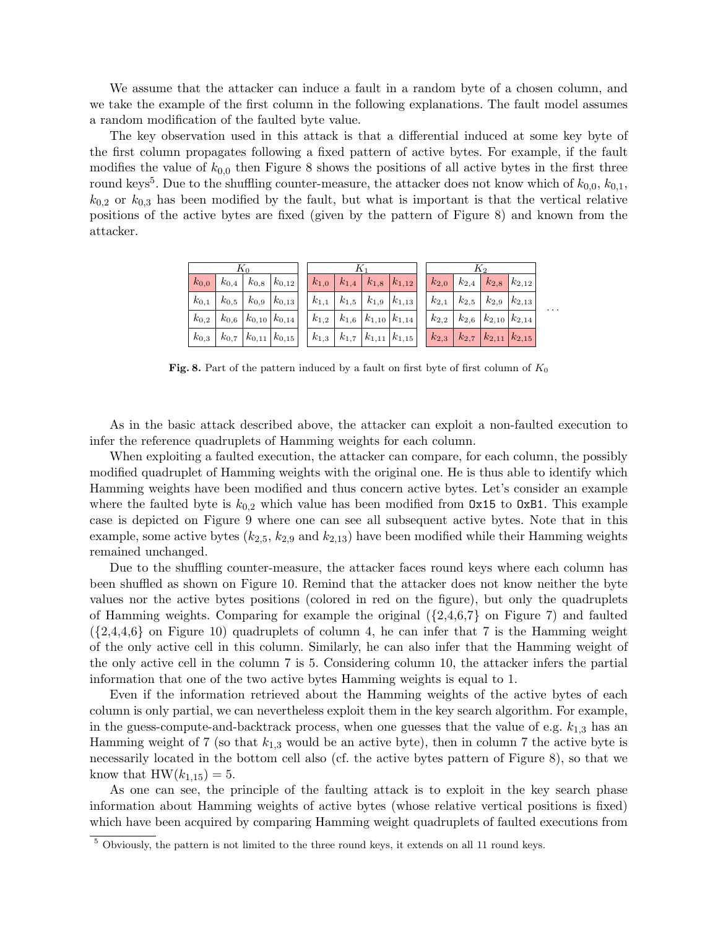We assume that the attacker can induce a fault in a random byte of a chosen column, and we take the example of the first column in the following explanations. The fault model assumes a random modification of the faulted byte value.

The key observation used in this attack is that a differential induced at some key byte of the first column propagates following a fixed pattern of active bytes. For example, if the fault modifies the value of  $k_{0,0}$  then Figure 8 shows the positions of all active bytes in the first three round keys<sup>5</sup>. Due to the shuffling counter-measure, the attacker does not know which of  $k_{0,0}$ ,  $k_{0,1}$ ,  $k_{0,2}$  or  $k_{0,3}$  has been modified by the fault, but what is important is that the vertical relative positions of the active bytes are fixed (given by the pattern of Figure 8) and known from the attacker.

|  | 71 O |                                           |  |  |  |                                                                                                                    |  | Λo |  |  |  |  |
|--|------|-------------------------------------------|--|--|--|--------------------------------------------------------------------------------------------------------------------|--|----|--|--|--|--|
|  |      | $k_{0,0}$ $k_{0,4}$ $k_{0,8}$ $k_{0,12}$  |  |  |  | $\mid k_{1,0} \mid k_{1,4} \mid k_{1,8} \mid k_{1,12} \mid k_{2,0} \mid k_{2,4} \mid k_{2,8} \mid k_{2,12} \mid$   |  |    |  |  |  |  |
|  |      | $k_{0,1}$ $k_{0,5}$ $k_{0,9}$ $k_{0,13}$  |  |  |  | $\mid k_{1,1} \mid k_{1,5} \mid k_{1,9} \mid k_{1,13} \mid k_{2,1} \mid k_{2,5} \mid k_{2,9} \mid k_{2,13}$        |  |    |  |  |  |  |
|  |      | $k_{0,2}$ $k_{0,6}$ $k_{0,10}$ $k_{0,14}$ |  |  |  | $\mid k_{1,2} \mid k_{1,6} \mid k_{1,10} \mid k_{1,14} \mid k_{2,2} \mid k_{2,6} \mid k_{2,10} \mid k_{2,14}$      |  |    |  |  |  |  |
|  |      | $ k_{0,3}  k_{0,7}  k_{0,11}  k_{0,15} $  |  |  |  | $\mid k_{1,3} \mid k_{1,7} \mid k_{1,11} \mid k_{1,15} \mid k_{2,3} \mid k_{2,7} \mid k_{2,11} \mid k_{2,15} \mid$ |  |    |  |  |  |  |

Fig. 8. Part of the pattern induced by a fault on first byte of first column of  $K_0$ 

As in the basic attack described above, the attacker can exploit a non-faulted execution to infer the reference quadruplets of Hamming weights for each column.

When exploiting a faulted execution, the attacker can compare, for each column, the possibly modified quadruplet of Hamming weights with the original one. He is thus able to identify which Hamming weights have been modified and thus concern active bytes. Let's consider an example where the faulted byte is  $k_{0,2}$  which value has been modified from  $0x15$  to  $0xB1$ . This example case is depicted on Figure 9 where one can see all subsequent active bytes. Note that in this example, some active bytes  $(k_{2,5}, k_{2,9} \text{ and } k_{2,13})$  have been modified while their Hamming weights remained unchanged.

Due to the shuffling counter-measure, the attacker faces round keys where each column has been shuffled as shown on Figure 10. Remind that the attacker does not know neither the byte values nor the active bytes positions (colored in red on the figure), but only the quadruplets of Hamming weights. Comparing for example the original  $(2,4,6,7)$  on Figure 7) and faulted  $({2,4,4,6}$  on Figure 10) quadruplets of column 4, he can infer that 7 is the Hamming weight of the only active cell in this column. Similarly, he can also infer that the Hamming weight of the only active cell in the column 7 is 5. Considering column 10, the attacker infers the partial information that one of the two active bytes Hamming weights is equal to 1.

Even if the information retrieved about the Hamming weights of the active bytes of each column is only partial, we can nevertheless exploit them in the key search algorithm. For example, in the guess-compute-and-backtrack process, when one guesses that the value of e.g.  $k_{1,3}$  has an Hamming weight of 7 (so that  $k_{1,3}$  would be an active byte), then in column 7 the active byte is necessarily located in the bottom cell also (cf. the active bytes pattern of Figure 8), so that we know that  $HW(k_{1,15}) = 5$ .

As one can see, the principle of the faulting attack is to exploit in the key search phase information about Hamming weights of active bytes (whose relative vertical positions is fixed) which have been acquired by comparing Hamming weight quadruplets of faulted executions from

 $\overline{5}$  Obviously, the pattern is not limited to the three round keys, it extends on all 11 round keys.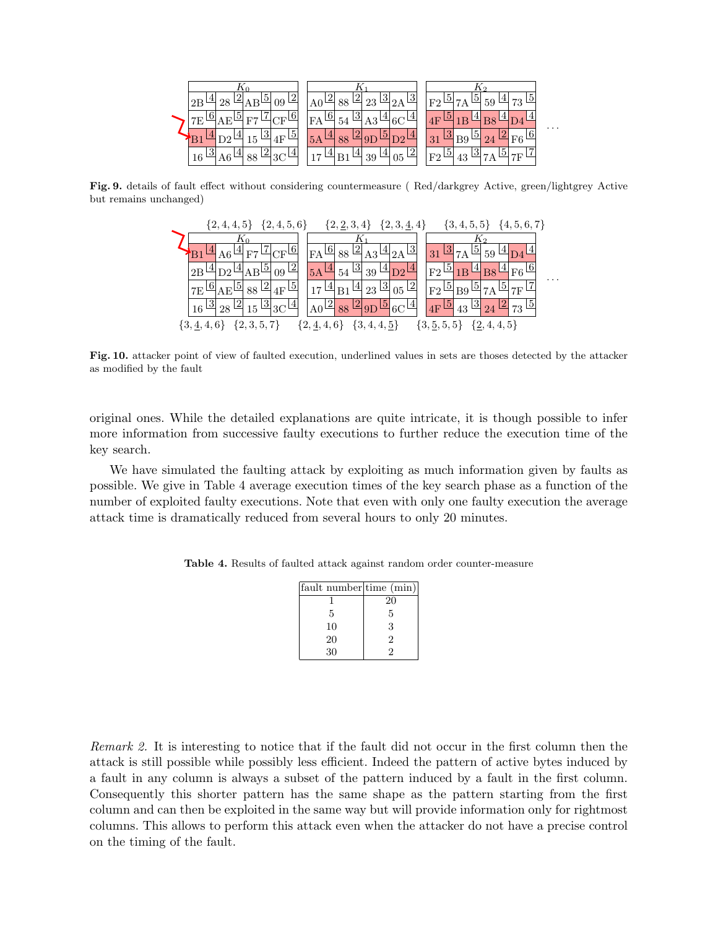|                             |                                                                     | $\overline{5}$   |  |
|-----------------------------|---------------------------------------------------------------------|------------------|--|
| $\Omega$                    | .99                                                                 | 50<br>.79.<br>mо |  |
|                             | ۰4،<br>۰υ.<br>$\epsilon$ <sup><math>\alpha</math></sup><br>FA<br>ΛO | $\overline{AB}$  |  |
| '5<br>117                   | 5A                                                                  | 21<br>v<br>Fб.   |  |
| 16<br>$\epsilon$<br>$\circ$ | ' 4լ<br>Ξtι<br>05<br>39<br>$\overline{ }$                           | ◡<br>42<br>ലറ    |  |

Fig. 9. details of fault effect without considering countermeasure ( Red/darkgrey Active, green/lightgrey Active but remains unchanged)

| $\{2,4,4,5\}$ $\{2,4,5,6\}$                                         | $\{3,4,5,5\}$ $\{4,5,6,7\}$<br>$\{2,2,3,4\}$ $\{2,3,4,4\}$                                                                            |                                            |
|---------------------------------------------------------------------|---------------------------------------------------------------------------------------------------------------------------------------|--------------------------------------------|
|                                                                     | K2                                                                                                                                    |                                            |
| $\lfloor 6 \rfloor$<br>CΕ<br>F7                                     | $\frac{2}{3}$ $\frac{4}{2}$ $\frac{3}{2}$<br>$\frac{5}{59}$ $\frac{4}{2}$ $\frac{14}{4}$<br>$FA$ <sup>6</sup> 88<br>$31\frac{3}{2}7A$ |                                            |
| $\lfloor 2 \rfloor$<br>09<br>2B                                     | $3^{4}$ 54 $^{3}$ 39 $^{4}$ D2 $^{4}$<br>F2                                                                                           | $\frac{4}{5}$ F <sub>6</sub> $\frac{6}{5}$ |
| $\frac{2}{4}$ $\frac{5}{4}$<br>7E                                   | $17\frac{[4]}{[3]}$ $\frac{[4]}{23}\frac{[3]}{[3]}$ $\frac{[2]}{[2]}$<br>$E_1F_2$                                                     |                                            |
| $\frac{2}{15}$ $\frac{3}{3}$ $\frac{4}{1}$<br>$16\frac{3}{2}$<br>28 | $A_0$ $2$ $8$ $2$ $9D$ $5$ $6C$ $4$<br>$\frac{1}{4F}$ $\frac{5}{43}$ $\frac{3}{24}$ $\frac{2}{4}$ $\frac{5}{3}$                       |                                            |
| $\{3, 4,$                                                           | $\{2,3,5,7\}$ $\{2,4,4,6\}$ $\{3,4,4,5\}$ $\{3,5,5,5\}$ $\{2,4,4,5\}$                                                                 |                                            |

Fig. 10. attacker point of view of faulted execution, underlined values in sets are thoses detected by the attacker as modified by the fault

original ones. While the detailed explanations are quite intricate, it is though possible to infer more information from successive faulty executions to further reduce the execution time of the key search.

We have simulated the faulting attack by exploiting as much information given by faults as possible. We give in Table 4 average execution times of the key search phase as a function of the number of exploited faulty executions. Note that even with only one faulty execution the average attack time is dramatically reduced from several hours to only 20 minutes.

Table 4. Results of faulted attack against random order counter-measure

| fault number time (min) |                |
|-------------------------|----------------|
|                         | 20             |
| 5                       | 5              |
| 10                      | 3              |
| 20                      | $\overline{2}$ |
| 30                      | 2              |

Remark 2. It is interesting to notice that if the fault did not occur in the first column then the attack is still possible while possibly less efficient. Indeed the pattern of active bytes induced by a fault in any column is always a subset of the pattern induced by a fault in the first column. Consequently this shorter pattern has the same shape as the pattern starting from the first column and can then be exploited in the same way but will provide information only for rightmost columns. This allows to perform this attack even when the attacker do not have a precise control on the timing of the fault.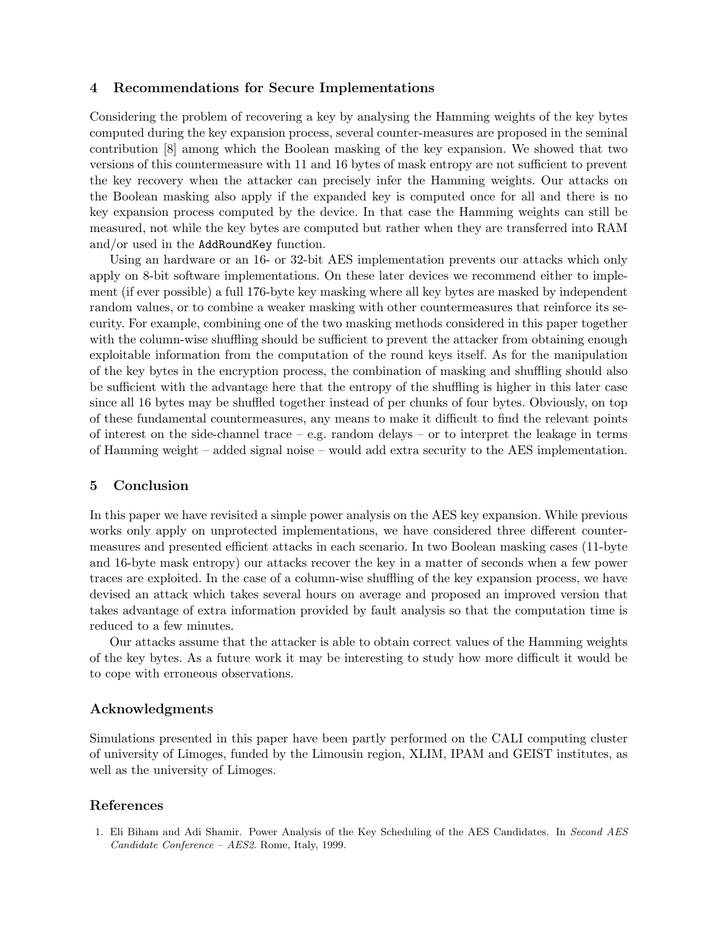### 4 Recommendations for Secure Implementations

Considering the problem of recovering a key by analysing the Hamming weights of the key bytes computed during the key expansion process, several counter-measures are proposed in the seminal contribution [8] among which the Boolean masking of the key expansion. We showed that two versions of this countermeasure with 11 and 16 bytes of mask entropy are not sufficient to prevent the key recovery when the attacker can precisely infer the Hamming weights. Our attacks on the Boolean masking also apply if the expanded key is computed once for all and there is no key expansion process computed by the device. In that case the Hamming weights can still be measured, not while the key bytes are computed but rather when they are transferred into RAM and/or used in the AddRoundKey function.

Using an hardware or an 16- or 32-bit AES implementation prevents our attacks which only apply on 8-bit software implementations. On these later devices we recommend either to implement (if ever possible) a full 176-byte key masking where all key bytes are masked by independent random values, or to combine a weaker masking with other countermeasures that reinforce its security. For example, combining one of the two masking methods considered in this paper together with the column-wise shuffling should be sufficient to prevent the attacker from obtaining enough exploitable information from the computation of the round keys itself. As for the manipulation of the key bytes in the encryption process, the combination of masking and shuffling should also be sufficient with the advantage here that the entropy of the shuffling is higher in this later case since all 16 bytes may be shuffled together instead of per chunks of four bytes. Obviously, on top of these fundamental countermeasures, any means to make it difficult to find the relevant points of interest on the side-channel trace  $-$  e.g. random delays  $-$  or to interpret the leakage in terms of Hamming weight – added signal noise – would add extra security to the AES implementation.

## 5 Conclusion

In this paper we have revisited a simple power analysis on the AES key expansion. While previous works only apply on unprotected implementations, we have considered three different countermeasures and presented efficient attacks in each scenario. In two Boolean masking cases (11-byte and 16-byte mask entropy) our attacks recover the key in a matter of seconds when a few power traces are exploited. In the case of a column-wise shuffling of the key expansion process, we have devised an attack which takes several hours on average and proposed an improved version that takes advantage of extra information provided by fault analysis so that the computation time is reduced to a few minutes.

Our attacks assume that the attacker is able to obtain correct values of the Hamming weights of the key bytes. As a future work it may be interesting to study how more difficult it would be to cope with erroneous observations.

#### Acknowledgments

Simulations presented in this paper have been partly performed on the CALI computing cluster of university of Limoges, funded by the Limousin region, XLIM, IPAM and GEIST institutes, as well as the university of Limoges.

## References

1. Eli Biham and Adi Shamir. Power Analysis of the Key Scheduling of the AES Candidates. In Second AES Candidate Conference – AES2. Rome, Italy, 1999.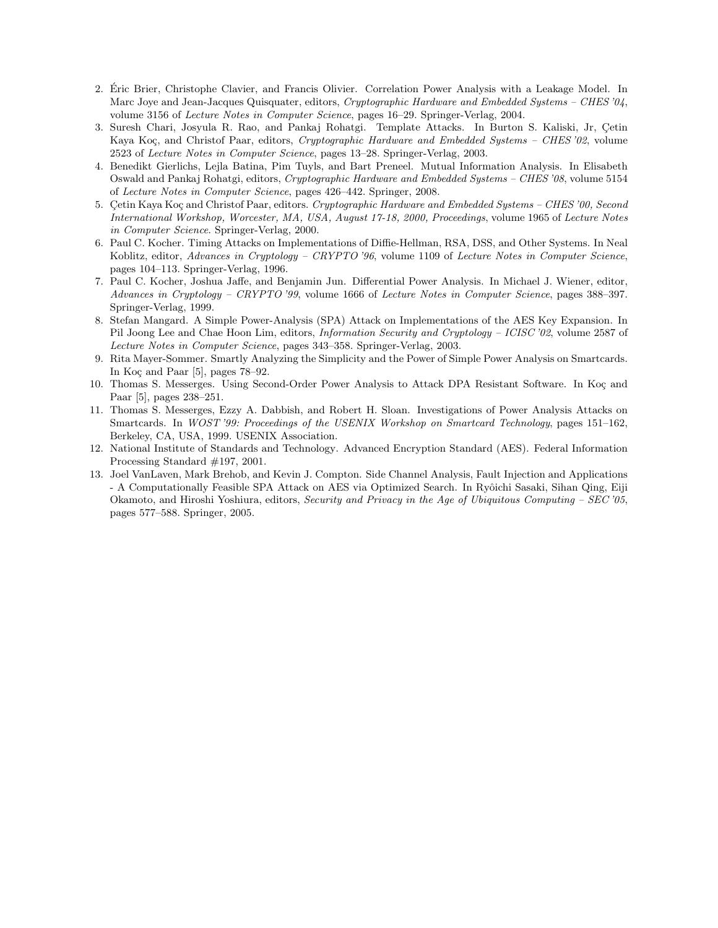- 2. Eric Brier, Christophe Clavier, and Francis Olivier. Correlation Power Analysis with a Leakage Model. In ´ Marc Joye and Jean-Jacques Quisquater, editors, Cryptographic Hardware and Embedded Systems – CHES '04, volume 3156 of Lecture Notes in Computer Science, pages 16–29. Springer-Verlag, 2004.
- 3. Suresh Chari, Josyula R. Rao, and Pankaj Rohatgi. Template Attacks. In Burton S. Kaliski, Jr, Çetin Kaya Koç, and Christof Paar, editors, Cryptographic Hardware and Embedded Systems - CHES '02, volume 2523 of Lecture Notes in Computer Science, pages 13–28. Springer-Verlag, 2003.
- 4. Benedikt Gierlichs, Lejla Batina, Pim Tuyls, and Bart Preneel. Mutual Information Analysis. In Elisabeth Oswald and Pankaj Rohatgi, editors, Cryptographic Hardware and Embedded Systems – CHES '08, volume 5154 of Lecture Notes in Computer Science, pages 426–442. Springer, 2008.
- 5. Çetin Kaya Koç and Christof Paar, editors. Cryptographic Hardware and Embedded Systems CHES '00, Second International Workshop, Worcester, MA, USA, August 17-18, 2000, Proceedings, volume 1965 of Lecture Notes in Computer Science. Springer-Verlag, 2000.
- 6. Paul C. Kocher. Timing Attacks on Implementations of Diffie-Hellman, RSA, DSS, and Other Systems. In Neal Koblitz, editor, Advances in Cryptology – CRYPTO '96, volume 1109 of Lecture Notes in Computer Science, pages 104–113. Springer-Verlag, 1996.
- 7. Paul C. Kocher, Joshua Jaffe, and Benjamin Jun. Differential Power Analysis. In Michael J. Wiener, editor, Advances in Cryptology – CRYPTO '99, volume 1666 of Lecture Notes in Computer Science, pages 388–397. Springer-Verlag, 1999.
- 8. Stefan Mangard. A Simple Power-Analysis (SPA) Attack on Implementations of the AES Key Expansion. In Pil Joong Lee and Chae Hoon Lim, editors, *Information Security and Cryptology – ICISC '02*, volume 2587 of Lecture Notes in Computer Science, pages 343–358. Springer-Verlag, 2003.
- 9. Rita Mayer-Sommer. Smartly Analyzing the Simplicity and the Power of Simple Power Analysis on Smartcards. In Koç and Paar  $[5]$ , pages  $78-92$ .
- 10. Thomas S. Messerges. Using Second-Order Power Analysis to Attack DPA Resistant Software. In Koç and Paar [5], pages 238–251.
- 11. Thomas S. Messerges, Ezzy A. Dabbish, and Robert H. Sloan. Investigations of Power Analysis Attacks on Smartcards. In WOST '99: Proceedings of the USENIX Workshop on Smartcard Technology, pages 151–162, Berkeley, CA, USA, 1999. USENIX Association.
- 12. National Institute of Standards and Technology. Advanced Encryption Standard (AES). Federal Information Processing Standard #197, 2001.
- 13. Joel VanLaven, Mark Brehob, and Kevin J. Compton. Side Channel Analysis, Fault Injection and Applications - A Computationally Feasible SPA Attack on AES via Optimized Search. In Ryôichi Sasaki, Sihan Qing, Eiji Okamoto, and Hiroshi Yoshiura, editors, Security and Privacy in the Age of Ubiquitous Computing – SEC '05, pages 577–588. Springer, 2005.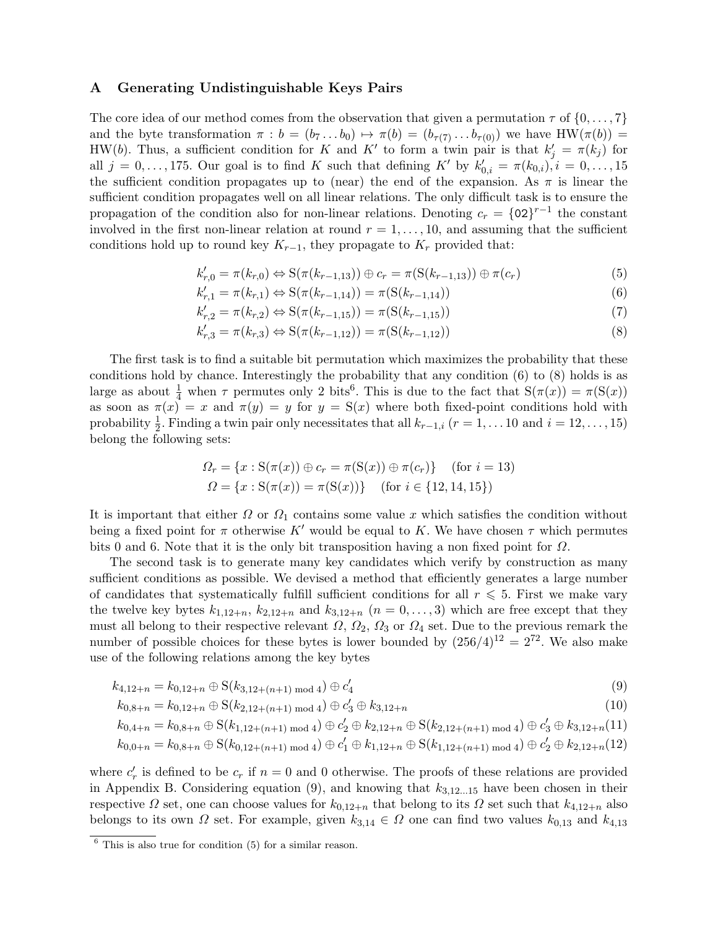#### A Generating Undistinguishable Keys Pairs

The core idea of our method comes from the observation that given a permutation  $\tau$  of  $\{0, \ldots, 7\}$ and the byte transformation  $\pi : b = (b_7 \dots b_0) \mapsto \pi(b) = (b_{\tau(7)} \dots b_{\tau(0)})$  we have HW( $\pi(b)$ ) = HW(b). Thus, a sufficient condition for K and K' to form a twin pair is that  $k'_j = \pi(k_j)$  for all  $j = 0, \ldots, 175$ . Our goal is to find K such that defining K' by  $k'_{0,i} = \pi(k_{0,i}), i = 0, \ldots, 15$ the sufficient condition propagates up to (near) the end of the expansion. As  $\pi$  is linear the sufficient condition propagates well on all linear relations. The only difficult task is to ensure the propagation of the condition also for non-linear relations. Denoting  $c_r = \{02\}^{r-1}$  the constant involved in the first non-linear relation at round  $r = 1, \ldots, 10$ , and assuming that the sufficient conditions hold up to round key  $K_{r-1}$ , they propagate to  $K_r$  provided that:

$$
k'_{r,0} = \pi(k_{r,0}) \Leftrightarrow \mathcal{S}(\pi(k_{r-1,13})) \oplus c_r = \pi(\mathcal{S}(k_{r-1,13})) \oplus \pi(c_r)
$$
\n(5)

$$
k'_{r,1} = \pi(k_{r,1}) \Leftrightarrow \mathcal{S}(\pi(k_{r-1,14})) = \pi(\mathcal{S}(k_{r-1,14}))
$$
\n(6)

$$
k'_{r,2} = \pi(k_{r,2}) \Leftrightarrow \mathcal{S}(\pi(k_{r-1,15})) = \pi(\mathcal{S}(k_{r-1,15}))
$$
\n(7)

$$
k'_{r,3} = \pi(k_{r,3}) \Leftrightarrow \mathcal{S}(\pi(k_{r-1,12})) = \pi(\mathcal{S}(k_{r-1,12}))
$$
\n(8)

The first task is to find a suitable bit permutation which maximizes the probability that these conditions hold by chance. Interestingly the probability that any condition (6) to (8) holds is as large as about  $\frac{1}{4}$  when  $\tau$  permutes only 2 bits<sup>6</sup>. This is due to the fact that  $S(\pi(x)) = \pi(S(x))$ as soon as  $\pi(x) = x$  and  $\pi(y) = y$  for  $y = S(x)$  where both fixed-point conditions hold with probability  $\frac{1}{2}$ . Finding a twin pair only necessitates that all  $k_{r-1,i}$  ( $r = 1, \ldots 10$  and  $i = 12, \ldots, 15$ ) belong the following sets:

$$
\Omega_r = \{x : S(\pi(x)) \oplus c_r = \pi(S(x)) \oplus \pi(c_r)\} \quad \text{(for } i = 13)
$$
\n
$$
\Omega = \{x : S(\pi(x)) = \pi(S(x))\} \quad \text{(for } i \in \{12, 14, 15\})
$$

It is important that either  $\Omega$  or  $\Omega_1$  contains some value x which satisfies the condition without being a fixed point for  $\pi$  otherwise K' would be equal to K. We have chosen  $\tau$  which permutes bits 0 and 6. Note that it is the only bit transposition having a non fixed point for  $\Omega$ .

The second task is to generate many key candidates which verify by construction as many sufficient conditions as possible. We devised a method that efficiently generates a large number of candidates that systematically fulfill sufficient conditions for all  $r \leq 5$ . First we make vary the twelve key bytes  $k_{1,12+n}$ ,  $k_{2,12+n}$  and  $k_{3,12+n}$   $(n = 0,\ldots,3)$  which are free except that they must all belong to their respective relevant  $\Omega$ ,  $\Omega_2$ ,  $\Omega_3$  or  $\Omega_4$  set. Due to the previous remark the number of possible choices for these bytes is lower bounded by  $(256/4)^{12} = 2^{72}$ . We also make use of the following relations among the key bytes

$$
k_{4,12+n} = k_{0,12+n} \oplus S(k_{3,12+(n+1) \mod 4}) \oplus c'_4
$$
\n(9)

$$
k_{0,8+n} = k_{0,12+n} \oplus \mathcal{S}(k_{2,12+(n+1)\text{ mod }4}) \oplus c'_3 \oplus k_{3,12+n}
$$
\n
$$
(10)
$$

$$
k_{0,4+n} = k_{0,8+n} \oplus S(k_{1,12+(n+1)\text{ mod }4}) \oplus c'_2 \oplus k_{2,12+n} \oplus S(k_{2,12+(n+1)\text{ mod }4}) \oplus c'_3 \oplus k_{3,12+n}(11)
$$

$$
k_{0,0+n} = k_{0,8+n} \oplus S(k_{0,12+(n+1)\bmod 4}) \oplus c'_1 \oplus k_{1,12+n} \oplus S(k_{1,12+(n+1)\bmod 4}) \oplus c'_2 \oplus k_{2,12+n}(12)
$$

where  $c'_r$  is defined to be  $c_r$  if  $n = 0$  and 0 otherwise. The proofs of these relations are provided in Appendix B. Considering equation (9), and knowing that  $k_{3,12...15}$  have been chosen in their respective  $\Omega$  set, one can choose values for  $k_{0,12+n}$  that belong to its  $\Omega$  set such that  $k_{4,12+n}$  also belongs to its own  $\Omega$  set. For example, given  $k_{3,14} \in \Omega$  one can find two values  $k_{0,13}$  and  $k_{4,13}$ 

 $\frac{6}{6}$  This is also true for condition (5) for a similar reason.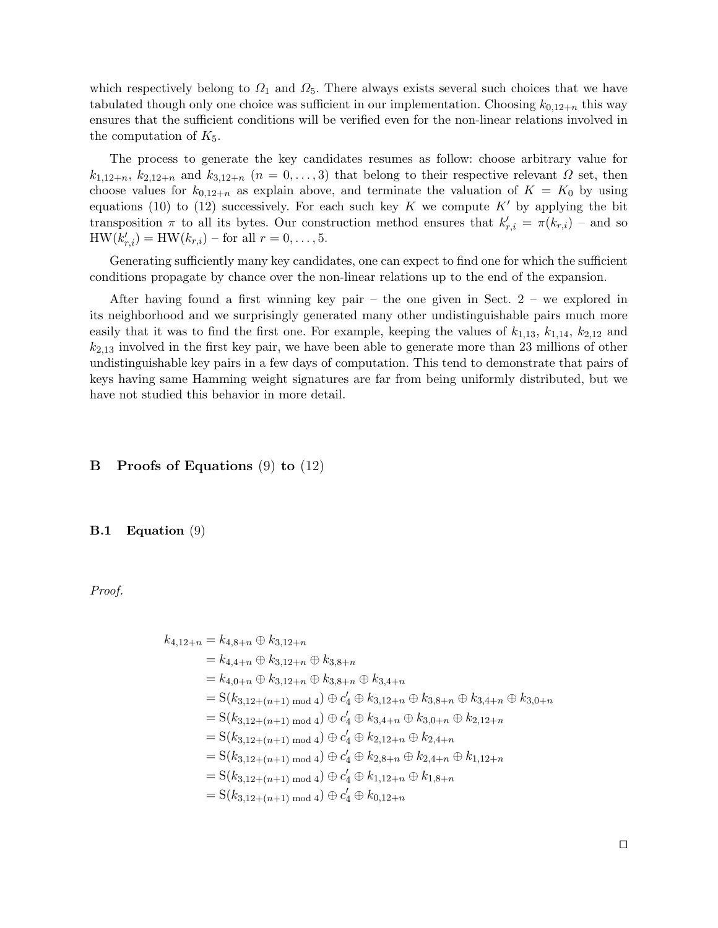which respectively belong to  $\Omega_1$  and  $\Omega_5$ . There always exists several such choices that we have tabulated though only one choice was sufficient in our implementation. Choosing  $k_{0,12+n}$  this way ensures that the sufficient conditions will be verified even for the non-linear relations involved in the computation of  $K_5$ .

The process to generate the key candidates resumes as follow: choose arbitrary value for  $k_{1,12+n}$ ,  $k_{2,12+n}$  and  $k_{3,12+n}$   $(n = 0, \ldots, 3)$  that belong to their respective relevant  $\Omega$  set, then choose values for  $k_{0,12+n}$  as explain above, and terminate the valuation of  $K = K_0$  by using equations (10) to (12) successively. For each such key K we compute  $K'$  by applying the bit transposition  $\pi$  to all its bytes. Our construction method ensures that  $k'_{r,i} = \pi(k_{r,i})$  – and so  $HW(k'_{r,i}) = HW(k_{r,i})$  – for all  $r = 0, ..., 5$ .

Generating sufficiently many key candidates, one can expect to find one for which the sufficient conditions propagate by chance over the non-linear relations up to the end of the expansion.

After having found a first winning key pair – the one given in Sect. 2 – we explored in its neighborhood and we surprisingly generated many other undistinguishable pairs much more easily that it was to find the first one. For example, keeping the values of  $k_{1,13}$ ,  $k_{1,14}$ ,  $k_{2,12}$  and  $k_{2,13}$  involved in the first key pair, we have been able to generate more than 23 millions of other undistinguishable key pairs in a few days of computation. This tend to demonstrate that pairs of keys having same Hamming weight signatures are far from being uniformly distributed, but we have not studied this behavior in more detail.

## B Proofs of Equations (9) to (12)

#### B.1 Equation (9)

Proof.

$$
k_{4,12+n} = k_{4,8+n} \oplus k_{3,12+n}
$$
  
\n
$$
= k_{4,4+n} \oplus k_{3,12+n} \oplus k_{3,8+n}
$$
  
\n
$$
= k_{4,0+n} \oplus k_{3,12+n} \oplus k_{3,8+n} \oplus k_{3,4+n}
$$
  
\n
$$
= S(k_{3,12+(n+1) \mod 4}) \oplus c'_4 \oplus k_{3,12+n} \oplus k_{3,8+n} \oplus k_{3,4+n} \oplus k_{3,0+n}
$$
  
\n
$$
= S(k_{3,12+(n+1) \mod 4}) \oplus c'_4 \oplus k_{3,4+n} \oplus k_{3,0+n} \oplus k_{2,12+n}
$$
  
\n
$$
= S(k_{3,12+(n+1) \mod 4}) \oplus c'_4 \oplus k_{2,12+n} \oplus k_{2,4+n}
$$
  
\n
$$
= S(k_{3,12+(n+1) \mod 4}) \oplus c'_4 \oplus k_{2,8+n} \oplus k_{2,4+n} \oplus k_{1,12+n}
$$
  
\n
$$
= S(k_{3,12+(n+1) \mod 4}) \oplus c'_4 \oplus k_{1,12+n} \oplus k_{1,8+n}
$$
  
\n
$$
= S(k_{3,12+(n+1) \mod 4}) \oplus c'_4 \oplus k_{0,12+n}
$$